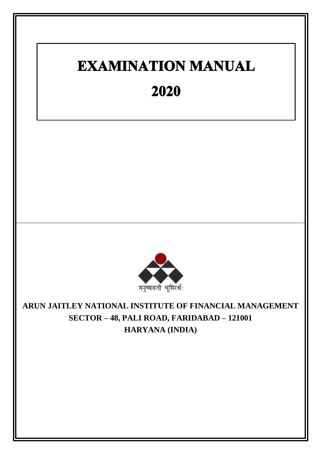# **EXAMINATION MANUAL** 2020



**ARUN JAITLEY NATIONAL INSTITUTE OF FINANCIAL MANAGEMENT SECTOR – 48, PALI ROAD, FARIDABAD – 121001 HARYANA (INDIA)**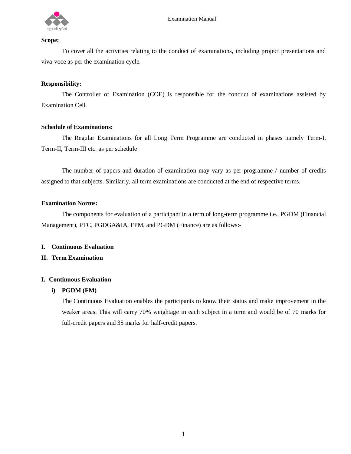

#### **Scope:**

To cover all the activities relating to the conduct of examinations, including project presentations and viva-voce as per the examination cycle.

# **Responsibility:**

The Controller of Examination (COE) is responsible for the conduct of examinations assisted by Examination Cell.

#### **Schedule of Examinations:**

The Regular Examinations for all Long Term Programme are conducted in phases namely Term-I, Term-II, Term-III etc. as per schedule

The number of papers and duration of examination may vary as per programme / number of credits assigned to that subjects. Similarly, all term examinations are conducted at the end of respective terms.

#### **Examination Norms:**

The components for evaluation of a participant in a term of long-term programme i.e., PGDM (Financial Management), PTC, PGDGA&IA, FPM, and PGDM (Finance) are as follows:-

#### **I. Continuous Evaluation**

# **II. Term Examination**

# **I. Continuous Evaluation-**

# **i) PGDM (FM)**

The Continuous Evaluation enables the participants to know their status and make improvement in the weaker areas. This will carry 70% weightage in each subject in a term and would be of 70 marks for full-credit papers and 35 marks for half-credit papers.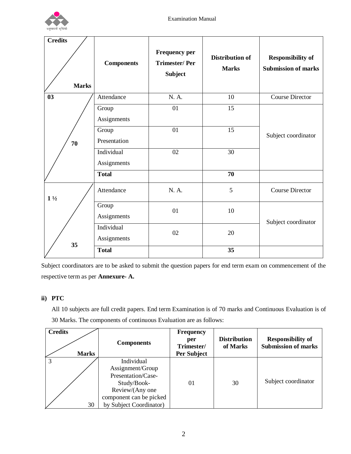

| <b>Credits</b><br><b>Marks</b> | <b>Components</b>         | <b>Frequency per</b><br><b>Trimester/Per</b><br><b>Subject</b> | <b>Distribution of</b><br><b>Marks</b> | <b>Responsibility of</b><br><b>Submission of marks</b> |
|--------------------------------|---------------------------|----------------------------------------------------------------|----------------------------------------|--------------------------------------------------------|
| 0 <sub>3</sub>                 | Attendance                | N. A.                                                          | 10                                     | <b>Course Director</b>                                 |
|                                | Group<br>Assignments      | 01                                                             | 15                                     |                                                        |
| 70                             | Group<br>Presentation     | 01                                                             | $\overline{15}$                        | Subject coordinator                                    |
|                                | Individual<br>Assignments | 02                                                             | 30                                     |                                                        |
|                                | <b>Total</b>              |                                                                | 70                                     |                                                        |
| $1\frac{1}{2}$                 | Attendance                | N. A.                                                          | 5                                      | <b>Course Director</b>                                 |
|                                | Group<br>Assignments      | 01                                                             | 10                                     | Subject coordinator                                    |
| 35                             | Individual<br>Assignments | 02                                                             | 20                                     |                                                        |
|                                | <b>Total</b>              |                                                                | 35                                     |                                                        |

Subject coordinators are to be asked to submit the question papers for end term exam on commencement of the respective term as per **Annexure- A.**

# **ii) PTC**

All 10 subjects are full credit papers. End term Examination is of 70 marks and Continuous Evaluation is of 30 Marks. The components of continuous Evaluation are as follows:

| <b>Credits</b><br><b>Marks</b> | <b>Components</b>                                                                                                                            | <b>Frequency</b><br>per<br>Trimester/<br>Per Subject | <b>Distribution</b><br>of Marks | <b>Responsibility of</b><br><b>Submission of marks</b> |
|--------------------------------|----------------------------------------------------------------------------------------------------------------------------------------------|------------------------------------------------------|---------------------------------|--------------------------------------------------------|
| 30                             | Individual<br>Assignment/Group<br>Presentation/Case-<br>Study/Book-<br>Review/(Any one<br>component can be picked<br>by Subject Coordinator) | 01                                                   | 30                              | Subject coordinator                                    |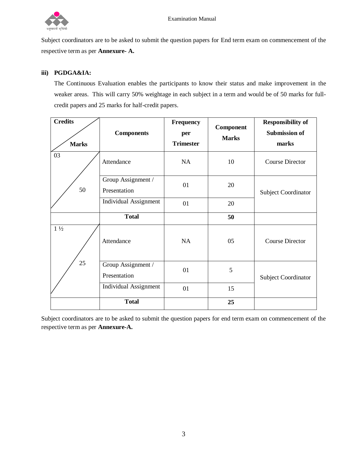

Subject coordinators are to be asked to submit the question papers for End term exam on commencement of the respective term as per **Annexure- A.**

# **iii) PGDGA&IA:**

The Continuous Evaluation enables the participants to know their status and make improvement in the weaker areas. This will carry 50% weightage in each subject in a term and would be of 50 marks for fullcredit papers and 25 marks for half-credit papers.

| <b>Credits</b><br><b>Marks</b> | <b>Components</b>                  | <b>Frequency</b><br>per<br><b>Trimester</b> | Component<br><b>Marks</b> | <b>Responsibility of</b><br><b>Submission of</b><br>marks |
|--------------------------------|------------------------------------|---------------------------------------------|---------------------------|-----------------------------------------------------------|
| 03                             | Attendance                         | NA                                          | 10                        | <b>Course Director</b>                                    |
| 50                             | Group Assignment /<br>Presentation | 01                                          | 20                        | Subject Coordinator                                       |
|                                | <b>Individual Assignment</b>       | 01                                          | 20                        |                                                           |
|                                | <b>Total</b>                       |                                             | 50                        |                                                           |
| $1\frac{1}{2}$                 | Attendance                         | <b>NA</b>                                   | 05                        | <b>Course Director</b>                                    |
| 25                             | Group Assignment /<br>Presentation | 01                                          | 5                         | <b>Subject Coordinator</b>                                |
|                                | <b>Individual Assignment</b>       | 01                                          | 15                        |                                                           |
|                                | <b>Total</b>                       |                                             | 25                        |                                                           |

Subject coordinators are to be asked to submit the question papers for end term exam on commencement of the respective term as per **Annexure-A.**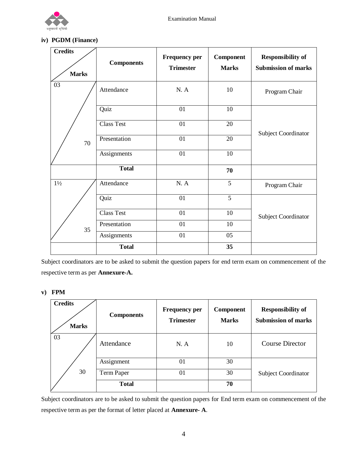

# **iv) PGDM (Finance)**

| <b>Credits</b> | <b>Components</b> | <b>Frequency per</b><br><b>Trimester</b> | Component<br><b>Marks</b> | <b>Responsibility of</b><br><b>Submission of marks</b> |  |
|----------------|-------------------|------------------------------------------|---------------------------|--------------------------------------------------------|--|
| <b>Marks</b>   |                   |                                          |                           |                                                        |  |
| 03             | Attendance        | N. A                                     | 10                        | Program Chair                                          |  |
|                | Quiz              | 01                                       | 10                        |                                                        |  |
|                | <b>Class Test</b> | 01                                       | 20                        | <b>Subject Coordinator</b>                             |  |
| 70             | Presentation      | 01                                       | 20                        |                                                        |  |
|                | Assignments       | 01                                       | 10                        |                                                        |  |
|                | <b>Total</b>      |                                          | 70                        |                                                        |  |
| $1\frac{1}{2}$ | Attendance        | N. A                                     | 5                         | Program Chair                                          |  |
|                | Quiz              | 01                                       | $\overline{5}$            |                                                        |  |
|                | <b>Class Test</b> | 01                                       | 10                        | <b>Subject Coordinator</b>                             |  |
| 35             | Presentation      | 01                                       | 10                        |                                                        |  |
|                | Assignments       | 01                                       | 05                        |                                                        |  |
|                | <b>Total</b>      |                                          | 35                        |                                                        |  |

Subject coordinators are to be asked to submit the question papers for end term exam on commencement of the respective term as per **Annexure-A.**

# **v) FPM**

| <b>Credits</b><br><b>Marks</b> | <b>Components</b> | <b>Frequency per</b><br><b>Trimester</b> | <b>Component</b><br><b>Marks</b> | <b>Responsibility of</b><br><b>Submission of marks</b> |
|--------------------------------|-------------------|------------------------------------------|----------------------------------|--------------------------------------------------------|
| 03                             | Attendance        | N. A                                     | 10                               | <b>Course Director</b>                                 |
|                                | Assignment        | 01                                       | 30                               |                                                        |
| 30                             | Term Paper        | 01                                       | 30                               | <b>Subject Coordinator</b>                             |
|                                | <b>Total</b>      |                                          | 70                               |                                                        |

Subject coordinators are to be asked to submit the question papers for End term exam on commencement of the respective term as per the format of letter placed at **Annexure- A**.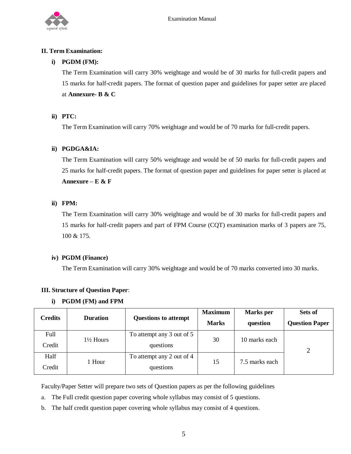

# **II. Term Examination:**

# **i) PGDM (FM):**

The Term Examination will carry 30% weightage and would be of 30 marks for full-credit papers and 15 marks for half-credit papers. The format of question paper and guidelines for paper setter are placed at **Annexure- B & C** 

# **ii) PTC:**

The Term Examination will carry 70% weightage and would be of 70 marks for full-credit papers.

# **ii) PGDGA&IA:**

The Term Examination will carry 50% weightage and would be of 50 marks for full-credit papers and 25 marks for half-credit papers. The format of question paper and guidelines for paper setter is placed at **Annexure – E & F**

# **ii) FPM:**

The Term Examination will carry 30% weightage and would be of 30 marks for full-credit papers and 15 marks for half-credit papers and part of FPM Course (CQT) examination marks of 3 papers are 75, 100 & 175.

# **iv) PGDM (Finance)**

The Term Examination will carry 30% weightage and would be of 70 marks converted into 30 marks.

# **III. Structure of Question Paper**:

# **i) PGDM (FM) and FPM**

| <b>Credits</b> | <b>Duration</b>      | <b>Questions to attempt</b>            | <b>Maximum</b><br><b>Marks</b> | <b>Marks</b> per<br>question | Sets of<br><b>Question Paper</b> |
|----------------|----------------------|----------------------------------------|--------------------------------|------------------------------|----------------------------------|
| Full<br>Credit | $1\frac{1}{2}$ Hours | To attempt any 3 out of 5<br>questions | 30                             | 10 marks each                | 2                                |
| Half<br>Credit | 1 Hour               | To attempt any 2 out of 4<br>questions | 15                             | 7.5 marks each               |                                  |

Faculty/Paper Setter will prepare two sets of Question papers as per the following guidelines

- a. The Full credit question paper covering whole syllabus may consist of 5 questions.
- b. The half credit question paper covering whole syllabus may consist of 4 questions.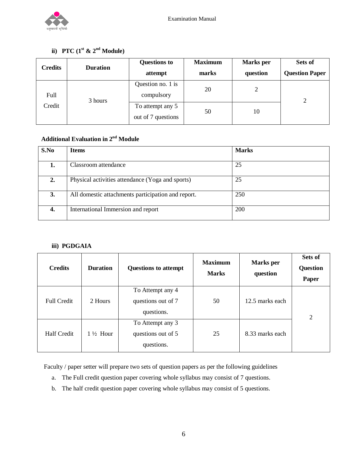

# **ii**) **PTC**  $(1^{\text{st}} \& 2^{\text{nd}} \text{ Module})$

| <b>Credits</b> | <b>Duration</b> | <b>Questions to</b><br>attempt         | <b>Maximum</b><br>marks | <b>Marks</b> per<br>question | Sets of<br><b>Question Paper</b> |
|----------------|-----------------|----------------------------------------|-------------------------|------------------------------|----------------------------------|
| Full           | 3 hours         | Question no. 1 is<br>compulsory        | 20                      | 2                            | $\overline{2}$                   |
| Credit         |                 | To attempt any 5<br>out of 7 questions | 50                      | 10                           |                                  |

# $\mathbf A$ dditional Evaluation in  $\mathbf 2^{\mathrm{nd}}$  Module

| S.No | <b>Items</b>                                       | <b>Marks</b> |
|------|----------------------------------------------------|--------------|
|      |                                                    |              |
| 1.   | Classroom attendance                               | 25           |
| 2.   | Physical activities attendance (Yoga and sports)   | 25           |
| 3.   | All domestic attachments participation and report. | 250          |
| 4.   | International Immersion and report                 | 200          |

# **iii) PGDGAIA**

| <b>Credits</b>     | <b>Duration</b>     | <b>Questions to attempt</b>                          | <b>Maximum</b><br><b>Marks</b> | Marks per<br>question | Sets of<br><b>Question</b><br><b>Paper</b> |
|--------------------|---------------------|------------------------------------------------------|--------------------------------|-----------------------|--------------------------------------------|
| <b>Full Credit</b> | 2 Hours             | To Attempt any 4<br>questions out of 7<br>questions. | 50                             | 12.5 marks each       | $\overline{2}$                             |
| <b>Half Credit</b> | $1\frac{1}{2}$ Hour | To Attempt any 3<br>questions out of 5<br>questions. | 25                             | 8.33 marks each       |                                            |

Faculty / paper setter will prepare two sets of question papers as per the following guidelines

- a. The Full credit question paper covering whole syllabus may consist of 7 questions.
- b. The half credit question paper covering whole syllabus may consist of 5 questions.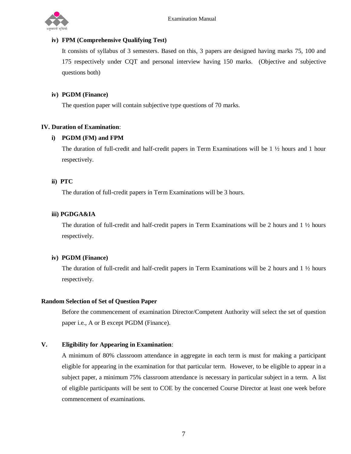

# **iv) FPM (Comprehensive Qualifying Test)**

It consists of syllabus of 3 semesters. Based on this, 3 papers are designed having marks 75, 100 and 175 respectively under CQT and personal interview having 150 marks. (Objective and subjective questions both)

# **iv) PGDM (Finance)**

The question paper will contain subjective type questions of 70 marks.

# **IV. Duration of Examination**:

# **i) PGDM (FM) and FPM**

The duration of full-credit and half-credit papers in Term Examinations will be 1 ½ hours and 1 hour respectively.

# **ii) PTC**

The duration of full-credit papers in Term Examinations will be 3 hours.

# **iii) PGDGA&IA**

The duration of full-credit and half-credit papers in Term Examinations will be 2 hours and 1 ½ hours respectively.

# **iv) PGDM (Finance)**

The duration of full-credit and half-credit papers in Term Examinations will be 2 hours and 1 ½ hours respectively.

# **Random Selection of Set of Question Paper**

Before the commencement of examination Director/Competent Authority will select the set of question paper i.e., A or B except PGDM (Finance).

# **V. Eligibility for Appearing in Examination**:

A minimum of 80% classroom attendance in aggregate in each term is must for making a participant eligible for appearing in the examination for that particular term. However, to be eligible to appear in a subject paper, a minimum 75% classroom attendance is necessary in particular subject in a term. A list of eligible participants will be sent to COE by the concerned Course Director at least one week before commencement of examinations.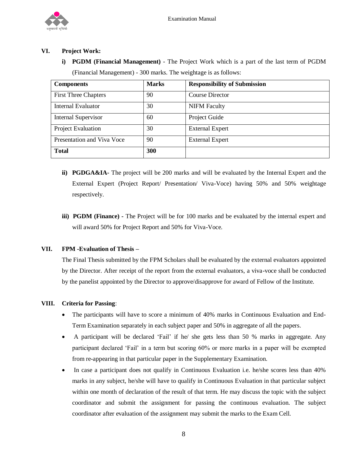

# **VI. Project Work:**

**i) PGDM (Financial Management)** - The Project Work which is a part of the last term of PGDM (Financial Management) - 300 marks. The weightage is as follows:

| <b>Components</b>           | <b>Marks</b> | <b>Responsibility of Submission</b> |
|-----------------------------|--------------|-------------------------------------|
| <b>First Three Chapters</b> | 90           | <b>Course Director</b>              |
| <b>Internal Evaluator</b>   | 30           | <b>NIFM Faculty</b>                 |
| <b>Internal Supervisor</b>  | 60           | Project Guide                       |
| Project Evaluation          | 30           | <b>External Expert</b>              |
| Presentation and Viva Voce  | 90           | <b>External Expert</b>              |
| <b>Total</b>                | 300          |                                     |

- **ii) PGDGA&IA-** The project will be 200 marks and will be evaluated by the Internal Expert and the External Expert (Project Report/ Presentation/ Viva-Voce) having 50% and 50% weightage respectively.
- **iii) PGDM (Finance) -** The Project will be for 100 marks and be evaluated by the internal expert and will award 50% for Project Report and 50% for Viva-Voce.

# **VII. FPM -Evaluation of Thesis –**

The Final Thesis submitted by the FPM Scholars shall be evaluated by the external evaluators appointed by the Director. After receipt of the report from the external evaluators, a viva-voce shall be conducted by the panelist appointed by the Director to approve/disapprove for award of Fellow of the Institute.

# **VIII. Criteria for Passing**:

- The participants will have to score a minimum of 40% marks in Continuous Evaluation and End-Term Examination separately in each subject paper and 50% in aggregate of all the papers.
- A participant will be declared 'Fail' if he/ she gets less than 50 % marks in aggregate. Any participant declared 'Fail' in a term but scoring 60% or more marks in a paper will be exempted from re-appearing in that particular paper in the Supplementary Examination.
- In case a participant does not qualify in Continuous Evaluation i.e. he/she scores less than 40% marks in any subject, he/she will have to qualify in Continuous Evaluation in that particular subject within one month of declaration of the result of that term. He may discuss the topic with the subject coordinator and submit the assignment for passing the continuous evaluation. The subject coordinator after evaluation of the assignment may submit the marks to the Exam Cell.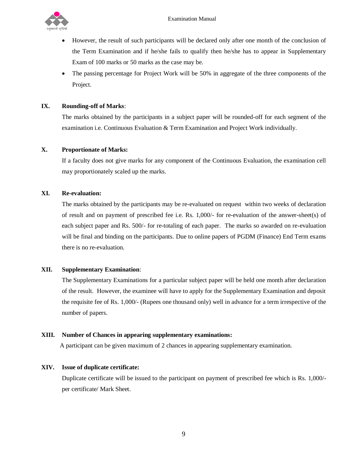

- However, the result of such participants will be declared only after one month of the conclusion of the Term Examination and if he/she fails to qualify then he/she has to appear in Supplementary Exam of 100 marks or 50 marks as the case may be.
- The passing percentage for Project Work will be 50% in aggregate of the three components of the Project.

# **IX. Rounding-off of Marks**:

The marks obtained by the participants in a subject paper will be rounded-off for each segment of the examination i.e. Continuous Evaluation & Term Examination and Project Work individually.

# **X. Proportionate of Marks:**

If a faculty does not give marks for any component of the Continuous Evaluation, the examination cell may proportionately scaled up the marks.

# **XI. Re-evaluation:**

The marks obtained by the participants may be re-evaluated on request within two weeks of declaration of result and on payment of prescribed fee i.e. Rs. 1,000/- for re-evaluation of the answer-sheet(s) of each subject paper and Rs. 500/- for re-totaling of each paper. The marks so awarded on re-evaluation will be final and binding on the participants. Due to online papers of PGDM (Finance) End Term exams there is no re-evaluation.

# **XII. Supplementary Examination**:

The Supplementary Examinations for a particular subject paper will be held one month after declaration of the result. However, the examinee will have to apply for the Supplementary Examination and deposit the requisite fee of Rs. 1,000/- (Rupees one thousand only) well in advance for a term irrespective of the number of papers.

# **XIII. Number of Chances in appearing supplementary examinations:**

A participant can be given maximum of 2 chances in appearing supplementary examination.

# **XIV. Issue of duplicate certificate:**

Duplicate certificate will be issued to the participant on payment of prescribed fee which is Rs. 1,000/ per certificate/ Mark Sheet.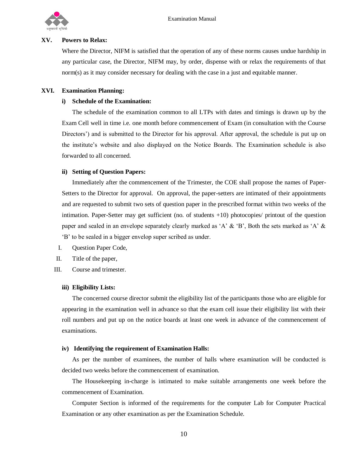

#### **XV. Powers to Relax:**

Where the Director, NIFM is satisfied that the operation of any of these norms causes undue hardship in any particular case, the Director, NIFM may, by order, dispense with or relax the requirements of that norm(s) as it may consider necessary for dealing with the case in a just and equitable manner.

#### **XVI. Examination Planning:**

#### **i) Schedule of the Examination:**

The schedule of the examination common to all LTPs with dates and timings is drawn up by the Exam Cell well in time i.e. one month before commencement of Exam (in consultation with the Course Directors') and is submitted to the Director for his approval. After approval, the schedule is put up on the institute's website and also displayed on the Notice Boards. The Examination schedule is also forwarded to all concerned.

#### **ii) Setting of Question Papers:**

Immediately after the commencement of the Trimester, the COE shall propose the names of Paper-Setters to the Director for approval. On approval, the paper-setters are intimated of their appointments and are requested to submit two sets of question paper in the prescribed format within two weeks of the intimation. Paper-Setter may get sufficient (no. of students +10) photocopies/ printout of the question paper and sealed in an envelope separately clearly marked as 'A' & 'B', Both the sets marked as 'A' & 'B' to be sealed in a bigger envelop super scribed as under.

- I. Question Paper Code,
- II. Title of the paper,
- III. Course and trimester.

#### **iii) Eligibility Lists:**

The concerned course director submit the eligibility list of the participants those who are eligible for appearing in the examination well in advance so that the exam cell issue their eligibility list with their roll numbers and put up on the notice boards at least one week in advance of the commencement of examinations.

#### **iv) Identifying the requirement of Examination Halls:**

As per the number of examinees, the number of halls where examination will be conducted is decided two weeks before the commencement of examination.

The Housekeeping in-charge is intimated to make suitable arrangements one week before the commencement of Examination.

Computer Section is informed of the requirements for the computer Lab for Computer Practical Examination or any other examination as per the Examination Schedule.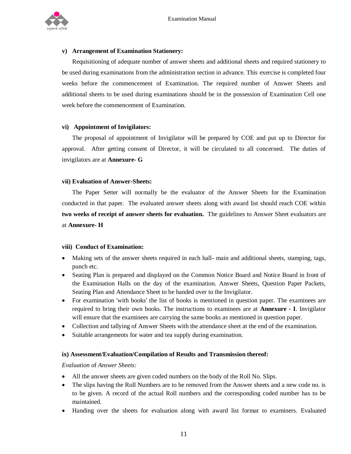

# **v) Arrangement of Examination Stationery:**

Requisitioning of adequate number of answer sheets and additional sheets and required stationery to be used during examinations from the administration section in advance. This exercise is completed four weeks before the commencement of Examination. The required number of Answer Sheets and additional sheets to be used during examinations should be in the possession of Examination Cell one week before the commencement of Examination.

#### **vi) Appointment of Invigilators:**

The proposal of appointment of Invigilator will be prepared by COE and put up to Director for approval. After getting consent of Director, it will be circulated to all concerned. The duties of invigilators are at **Annexure- G**

# **vii) Evaluation of Answer-Sheets:**

The Paper Setter will normally be the evaluator of the Answer Sheets for the Examination conducted in that paper. The evaluated answer sheets along with award list should reach COE within **two weeks of receipt of answer sheets for evaluation.** The guidelines to Answer Sheet evaluators are at **Annexure- H**

#### **viii) Conduct of Examination:**

- Making sets of the answer sheets required in each hall- main and additional sheets, stamping, tags, punch etc.
- Seating Plan is prepared and displayed on the Common Notice Board and Notice Board in front of the Examination Halls on the day of the examination. Answer Sheets, Question Paper Packets, Seating Plan and Attendance Sheet to be handed over to the Invigilator.
- For examination 'with books' the list of books is mentioned in question paper. The examinees are required to bring their own books. The instructions to examinees are at **Annexure - I**. Invigilator will ensure that the examinees are carrying the same books as mentioned in question paper.
- Collection and tallying of Answer Sheets with the attendance sheet at the end of the examination.
- Suitable arrangements for water and tea supply during examination.

# **ix) Assessment/Evaluation/Compilation of Results and Transmission thereof:**

#### *Evaluation* of *Answer Sheets:*

- All the answer sheets are given coded numbers on the body of the Roll No. Slips.
- The slips having the Roll Numbers are to be removed from the Answer sheets and a new code no. is to be given. A record of the actual Roll numbers and the corresponding coded number has to be maintained.
- Handing over the sheets for evaluation along with award list format to examiners. Evaluated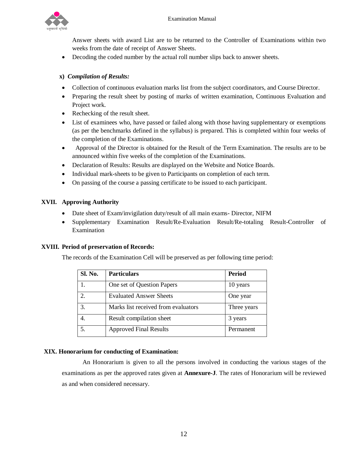

Answer sheets with award List are to be returned to the Controller of Examinations within two weeks from the date of receipt of Answer Sheets.

Decoding the coded number by the actual roll number slips back to answer sheets.

# **x)** *Compilation of Results:*

- Collection of continuous evaluation marks list from the subject coordinators, and Course Director.
- Preparing the result sheet by posting of marks of written examination, Continuous Evaluation and Project work.
- Rechecking of the result sheet.
- List of examinees who, have passed or failed along with those having supplementary or exemptions (as per the benchmarks defined in the syllabus) is prepared. This is completed within four weeks of the completion of the Examinations.
- Approval of the Director is obtained for the Result of the Term Examination. The results are to be announced within five weeks of the completion of the Examinations.
- Declaration of Results: Results are displayed on the Website and Notice Boards.
- Individual mark-sheets to be given to Participants on completion of each term.
- On passing of the course a passing certificate to be issued to each participant.

# **XVII. Approving Authority**

- Date sheet of Exam/invigilation duty/result of all main exams- Director, NIFM
- Supplementary Examination Result/Re-Evaluation Result/Re-totaling Result-Controller of Examination

# **XVIII. Period of preservation of Records:**

The records of the Examination Cell will be preserved as per following time period:

| Sl. No.                     | <b>Particulars</b>                  | <b>Period</b> |
|-----------------------------|-------------------------------------|---------------|
|                             | One set of Question Papers          | 10 years      |
| $\mathcal{D}_{\mathcal{L}}$ | <b>Evaluated Answer Sheets</b>      | One year      |
| 3.                          | Marks list received from evaluators | Three years   |
|                             | Result compilation sheet            | 3 years       |
| 5.                          | <b>Approved Final Results</b>       | Permanent     |

# **XIX. Honorarium for conducting of Examination:**

An Honorarium is given to all the persons involved in conducting the various stages of the examinations as per the approved rates given at **Annexure-J**. The rates of Honorarium will be reviewed as and when considered necessary.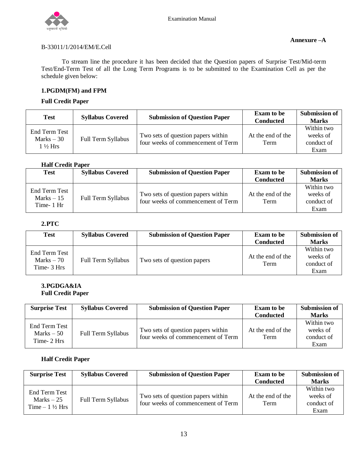

# B-33011/1/2014/EM/E.Cell

To stream line the procedure it has been decided that the Question papers of Surprise Test/Mid-term Test/End-Term Test of all the Long Term Programs is to be submitted to the Examination Cell as per the schedule given below:

# **1.PGDM(FM) and FPM**

# **Full Credit Paper**

| <b>Test</b>                                        | <b>Syllabus Covered</b> | <b>Submission of Question Paper</b>                                      | <b>Exam to be</b><br><b>Conducted</b> | Submission of<br><b>Marks</b>                |
|----------------------------------------------------|-------------------------|--------------------------------------------------------------------------|---------------------------------------|----------------------------------------------|
| End Term Test<br>Marks $-30$<br>$1\frac{1}{2}$ Hrs | Full Term Syllabus      | Two sets of question papers within<br>four weeks of commencement of Term | At the end of the<br>Term             | Within two<br>weeks of<br>conduct of<br>Exam |

# **Half Credit Paper**

| Test                                       | <b>Syllabus Covered</b> | <b>Submission of Question Paper</b>                                      | <b>Exam to be</b><br><b>Conducted</b> | <b>Submission of</b><br><b>Marks</b>         |
|--------------------------------------------|-------------------------|--------------------------------------------------------------------------|---------------------------------------|----------------------------------------------|
| End Term Test<br>Marks $-15$<br>Time- 1 Hr | Full Term Syllabus      | Two sets of question papers within<br>four weeks of commencement of Term | At the end of the<br>Term             | Within two<br>weeks of<br>conduct of<br>Exam |

# **2.PTC**

| Test                                         | <b>Syllabus Covered</b> | <b>Submission of Question Paper</b> | <b>Exam to be</b><br><b>Conducted</b> | <b>Submission of</b><br><b>Marks</b>         |
|----------------------------------------------|-------------------------|-------------------------------------|---------------------------------------|----------------------------------------------|
| End Term Test<br>$Marks - 70$<br>Time- 3 Hrs | Full Term Syllabus      | Two sets of question papers         | At the end of the<br>Term             | Within two<br>weeks of<br>conduct of<br>Exam |

# **3.PGDGA&IA Full Credit Paper**

| <b>Surprise Test</b>                        | <b>Syllabus Covered</b>   | <b>Submission of Question Paper</b>                                      | <b>Exam to be</b><br><b>Conducted</b> | <b>Submission of</b><br><b>Marks</b>         |
|---------------------------------------------|---------------------------|--------------------------------------------------------------------------|---------------------------------------|----------------------------------------------|
| End Term Test<br>Marks $-50$<br>Time- 2 Hrs | <b>Full Term Syllabus</b> | Two sets of question papers within<br>four weeks of commencement of Term | At the end of the<br>Term             | Within two<br>weeks of<br>conduct of<br>Exam |

# **Half Credit Paper**

| <b>Surprise Test</b>                                     | <b>Syllabus Covered</b>                                                                        | <b>Submission of Question Paper</b> | <b>Exam to be</b><br><b>Conducted</b> | <b>Submission of</b><br><b>Marks</b> |
|----------------------------------------------------------|------------------------------------------------------------------------------------------------|-------------------------------------|---------------------------------------|--------------------------------------|
|                                                          |                                                                                                |                                     |                                       | Within two                           |
| End Term Test<br>Marks $-25$<br>Time $-1\frac{1}{2}$ Hrs | Two sets of question papers within<br>Full Term Syllabus<br>four weeks of commencement of Term | At the end of the                   | weeks of                              |                                      |
|                                                          |                                                                                                |                                     | Term                                  | conduct of                           |
|                                                          |                                                                                                |                                     |                                       | Exam                                 |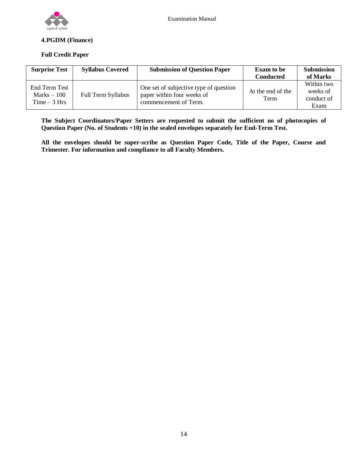

# **4.PGDM (Finance)**

# **Full Credit Paper**

| <b>Surprise Test</b>                           | <b>Syllabus Covered</b> | <b>Submission of Question Paper</b>                                                           | <b>Exam to be</b><br><b>Conducted</b> | <b>Submission</b><br>of Marks                |
|------------------------------------------------|-------------------------|-----------------------------------------------------------------------------------------------|---------------------------------------|----------------------------------------------|
| End Term Test<br>$Marks - 100$<br>$Time-3 Hrs$ | Full Term Syllabus      | One set of subjective type of question<br>paper within four weeks of<br>commencement of Term. | At the end of the<br>Term             | Within two<br>weeks of<br>conduct of<br>Exam |

**The Subject Coordinators/Paper Setters are requested to submit the sufficient no of photocopies of Question Paper (No. of Students +10) in the sealed envelopes separately for End-Term Test.** 

**All the envelopes should be super-scribe as Question Paper Code, Title of the Paper, Course and Trimester. For information and compliance to all Faculty Members.**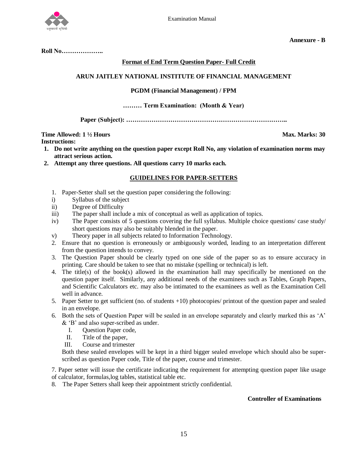

 **Annexure - B**

**Roll No………………..**

# **Format of End Term Question Paper- Full Credit**

# **ARUN JAITLEY NATIONAL INSTITUTE OF FINANCIAL MANAGEMENT**

# **PGDM (Financial Management) / FPM**

#### **……… Term Examination: (Month & Year)**

**Paper (Subject): …………………………………………………………………..**

#### **Time Allowed: 1 ½ Hours Max. Marks: 30**

**Instructions:** 

- **1. Do not write anything on the question paper except Roll No, any violation of examination norms may attract serious action.**
- **2. Attempt any three questions. All questions carry 10 marks each.**

#### **GUIDELINES FOR PAPER-SETTERS**

- 1. Paper-Setter shall set the question paper considering the following:
- i) Syllabus of the subject
- ii) Degree of Difficulty
- iii) The paper shall include a mix of conceptual as well as application of topics.
- iv) The Paper consists of 5 questions covering the full syllabus. Multiple choice questions/ case study/ short questions may also be suitably blended in the paper.
- v) Theory paper in all subjects related to Information Technology.
- 2. Ensure that no question is erroneously or ambiguously worded, leading to an interpretation different from the question intends to convey.
- 3. The Question Paper should be clearly typed on one side of the paper so as to ensure accuracy in printing. Care should be taken to see that no mistake (spelling or technical) is left.
- 4. The title(s) of the book(s) allowed in the examination hall may specifically be mentioned on the question paper itself. Similarly, any additional needs of the examinees such as Tables, Graph Papers, and Scientific Calculators etc. may also be intimated to the examinees as well as the Examination Cell well in advance.
- 5. Paper Setter to get sufficient (no. of students +10) photocopies/ printout of the question paper and sealed in an envelope.
- 6. Both the sets of Question Paper will be sealed in an envelope separately and clearly marked this as 'A' & 'B' and also super-scribed as under.
	- I. Question Paper code,
	- II. Title of the paper,
	- III. Course and trimester

Both these sealed envelopes will be kept in a third bigger sealed envelope which should also be superscribed as question Paper code, Title of the paper, course and trimester.

7. Paper setter will issue the certificate indicating the requirement for attempting question paper like usage of calculator, formulas,log tables, statistical table etc.

8. The Paper Setters shall keep their appointment strictly confidential.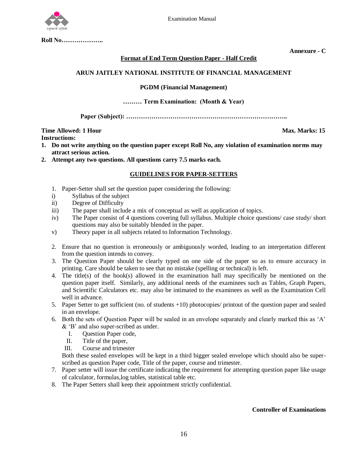

**Roll No………………..**

**Annexure - C**

# **Format of End Term Question Paper - Half Credit**

# **ARUN JAITLEY NATIONAL INSTITUTE OF FINANCIAL MANAGEMENT**

# **PGDM (Financial Management)**

#### **……… Term Examination: (Month & Year)**

**Paper (Subject): …………………………………………………………………..**

#### **Time Allowed: 1 Hour Max. Marks: 15 Instructions:**

- **1. Do not write anything on the question paper except Roll No, any violation of examination norms may attract serious action.**
- **2. Attempt any two questions. All questions carry 7.5 marks each.**

# **GUIDELINES FOR PAPER-SETTERS**

- 1. Paper-Setter shall set the question paper considering the following:
- i) Syllabus of the subject
- ii) Degree of Difficulty
- iii) The paper shall include a mix of conceptual as well as application of topics.
- iv) The Paper consist of 4 questions covering full syllabus. Multiple choice questions/ case study/ short questions may also be suitably blended in the paper.
- v) Theory paper in all subjects related to Information Technology.
- 2. Ensure that no question is erroneously or ambiguously worded, leading to an interpretation different from the question intends to convey.
- 3. The Question Paper should be clearly typed on one side of the paper so as to ensure accuracy in printing. Care should be taken to see that no mistake (spelling or technical) is left.
- 4. The title(s) of the book(s) allowed in the examination hall may specifically be mentioned on the question paper itself. Similarly, any additional needs of the examinees such as Tables, Graph Papers, and Scientific Calculators etc. may also be intimated to the examinees as well as the Examination Cell well in advance.
- 5. Paper Setter to get sufficient (no. of students +10) photocopies/ printout of the question paper and sealed in an envelope.
- 6. Both the sets of Question Paper will be sealed in an envelope separately and clearly marked this as 'A' & 'B' and also super-scribed as under.
	- I. Question Paper code,
	- II. Title of the paper,
	- III. Course and trimester

Both these sealed envelopes will be kept in a third bigger sealed envelope which should also be superscribed as question Paper code, Title of the paper, course and trimester.

- 7. Paper setter will issue the certificate indicating the requirement for attempting question paper like usage of calculator, formulas,log tables, statistical table etc.
- 8. The Paper Setters shall keep their appointment strictly confidential.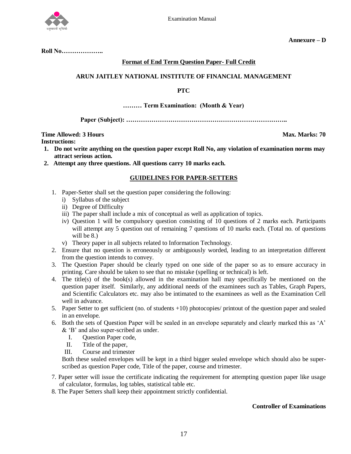

**Annexure – D**

**Roll No………………..**

#### **Format of End Term Question Paper- Full Credit**

# **ARUN JAITLEY NATIONAL INSTITUTE OF FINANCIAL MANAGEMENT**

#### **PTC**

#### **……… Term Examination: (Month & Year)**

**Paper (Subject): …………………………………………………………………..**

# **Time Allowed: 3 Hours Max. Marks: 70**

**Instructions:** 

- **1. Do not write anything on the question paper except Roll No, any violation of examination norms may attract serious action.**
- **2. Attempt any three questions. All questions carry 10 marks each.**

#### **GUIDELINES FOR PAPER-SETTERS**

- 1. Paper-Setter shall set the question paper considering the following:
	- i) Syllabus of the subject
	- ii) Degree of Difficulty
	- iii) The paper shall include a mix of conceptual as well as application of topics.
	- iv) Question 1 will be compulsory question consisting of 10 questions of 2 marks each. Participants will attempt any 5 question out of remaining 7 questions of 10 marks each. (Total no. of questions will be 8.)
	- v) Theory paper in all subjects related to Information Technology.
- 2. Ensure that no question is erroneously or ambiguously worded, leading to an interpretation different from the question intends to convey.
- 3. The Question Paper should be clearly typed on one side of the paper so as to ensure accuracy in printing. Care should be taken to see that no mistake (spelling or technical) is left.
- 4. The title(s) of the book(s) allowed in the examination hall may specifically be mentioned on the question paper itself. Similarly, any additional needs of the examinees such as Tables, Graph Papers, and Scientific Calculators etc. may also be intimated to the examinees as well as the Examination Cell well in advance.
- 5. Paper Setter to get sufficient (no. of students +10) photocopies/ printout of the question paper and sealed in an envelope.
- 6. Both the sets of Question Paper will be sealed in an envelope separately and clearly marked this as 'A' & 'B' and also super-scribed as under.
	- I. Question Paper code,
	- II. Title of the paper,
	- III. Course and trimester

Both these sealed envelopes will be kept in a third bigger sealed envelope which should also be superscribed as question Paper code, Title of the paper, course and trimester.

- 7. Paper setter will issue the certificate indicating the requirement for attempting question paper like usage of calculator, formulas, log tables, statistical table etc.
- 8. The Paper Setters shall keep their appointment strictly confidential.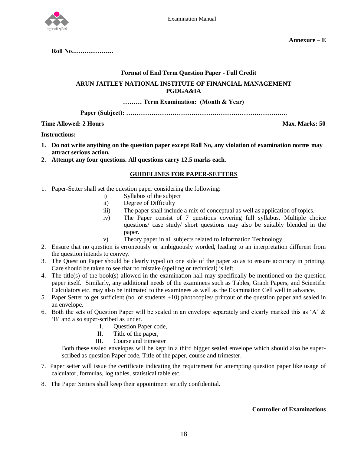

**Roll No………………..**

# **Format of End Term Question Paper - Full Credit**

# **ARUN JAITLEY NATIONAL INSTITUTE OF FINANCIAL MANAGEMENT PGDGA&IA**

# **……… Term Examination: (Month & Year)**

**Paper (Subject): …………………………………………………………………..**

# **Time Allowed: 2 Hours Max. Marks: 50**

# **Instructions:**

- **1. Do not write anything on the question paper except Roll No, any violation of examination norms may attract serious action.**
- **2. Attempt any four questions. All questions carry 12.5 marks each.**

# **GUIDELINES FOR PAPER-SETTERS**

- 1. Paper-Setter shall set the question paper considering the following:
	- i) Syllabus of the subject
	- ii) Degree of Difficulty
	- iii) The paper shall include a mix of conceptual as well as application of topics.
	- iv) The Paper consist of 7 questions covering full syllabus. Multiple choice questions/ case study/ short questions may also be suitably blended in the paper.
	- v) Theory paper in all subjects related to Information Technology.
- 2. Ensure that no question is erroneously or ambiguously worded, leading to an interpretation different from the question intends to convey.
- 3. The Question Paper should be clearly typed on one side of the paper so as to ensure accuracy in printing. Care should be taken to see that no mistake (spelling or technical) is left.
- 4. The title(s) of the book(s) allowed in the examination hall may specifically be mentioned on the question paper itself. Similarly, any additional needs of the examinees such as Tables, Graph Papers, and Scientific Calculators etc. may also be intimated to the examinees as well as the Examination Cell well in advance.
- 5. Paper Setter to get sufficient (no. of students +10) photocopies/ printout of the question paper and sealed in an envelope.
- 6. Both the sets of Question Paper will be sealed in an envelope separately and clearly marked this as 'A' & 'B' and also super-scribed as under.
	- I. Question Paper code,
	- II. Title of the paper,
	- III. Course and trimester

Both these sealed envelopes will be kept in a third bigger sealed envelope which should also be superscribed as question Paper code, Title of the paper, course and trimester.

- 7. Paper setter will issue the certificate indicating the requirement for attempting question paper like usage of calculator, formulas, log tables, statistical table etc.
- 8. The Paper Setters shall keep their appointment strictly confidential.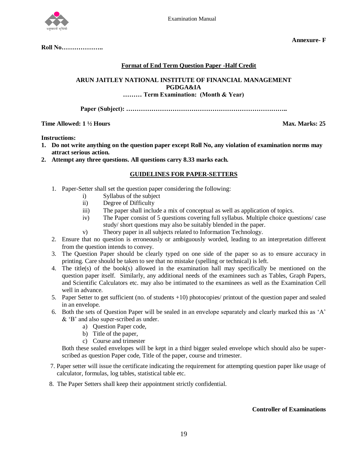

**Roll No………………..**

**Annexure- F**

# **Format of End Term Question Paper -Half Credit**

# **ARUN JAITLEY NATIONAL INSTITUTE OF FINANCIAL MANAGEMENT PGDGA&IA ……… Term Examination: (Month & Year)**

**Paper (Subject): …………………………………………………………………..**

**Time Allowed: 1 ½ Hours** Max. Marks: 25

# **Instructions:**

- **1. Do not write anything on the question paper except Roll No, any violation of examination norms may attract serious action.**
- **2. Attempt any three questions. All questions carry 8.33 marks each.**

# **GUIDELINES FOR PAPER-SETTERS**

- 1. Paper-Setter shall set the question paper considering the following:
	- i) Syllabus of the subject
	- ii) Degree of Difficulty
	- iii) The paper shall include a mix of conceptual as well as application of topics.
	- iv) The Paper consist of 5 questions covering full syllabus. Multiple choice questions/ case study/ short questions may also be suitably blended in the paper.
	- v) Theory paper in all subjects related to Information Technology.
- 2. Ensure that no question is erroneously or ambiguously worded, leading to an interpretation different from the question intends to convey.
- 3. The Question Paper should be clearly typed on one side of the paper so as to ensure accuracy in printing. Care should be taken to see that no mistake (spelling or technical) is left.
- 4. The title(s) of the book(s) allowed in the examination hall may specifically be mentioned on the question paper itself. Similarly, any additional needs of the examinees such as Tables, Graph Papers, and Scientific Calculators etc. may also be intimated to the examinees as well as the Examination Cell well in advance.
- 5. Paper Setter to get sufficient (no. of students +10) photocopies/ printout of the question paper and sealed in an envelope.
- 6. Both the sets of Question Paper will be sealed in an envelope separately and clearly marked this as 'A' & 'B' and also super-scribed as under.
	- a) Question Paper code,
	- b) Title of the paper,
	- c) Course and trimester

Both these sealed envelopes will be kept in a third bigger sealed envelope which should also be superscribed as question Paper code, Title of the paper, course and trimester.

- 7. Paper setter will issue the certificate indicating the requirement for attempting question paper like usage of calculator, formulas, log tables, statistical table etc.
- 8. The Paper Setters shall keep their appointment strictly confidential.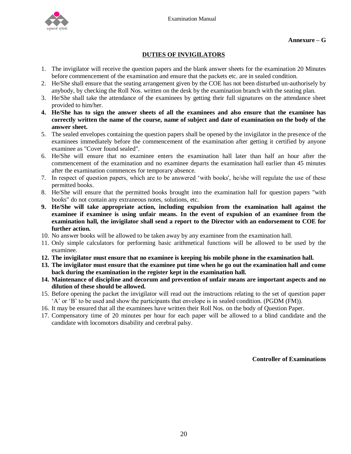

# **DUTIES OF INVIGILATORS**

- 1. The invigilator will receive the question papers and the blank answer sheets for the examination 20 Minutes before commencement of the examination and ensure that the packets etc. are in sealed condition.
- 2. He/She shall ensure that the seating arrangement given by the COE has not been disturbed un-authorisely by anybody, by checking the Roll Nos. written on the desk by the examination branch with the seating plan.
- 3. He/She shall take the attendance of the examinees by getting their full signatures on the attendance sheet provided to him/her.
- **4. He/She has to sign the answer sheets of all the examinees and also ensure that the examinee has correctly written the name of the course, name of subject and date of examination on the body of the answer sheet.**
- 5. The sealed envelopes containing the question papers shall be opened by the invigilator in the presence of the examinees immediately before the commencement of the examination after getting it certified by anyone examinee as "Cover found sealed".
- 6. He/She will ensure that no examinee enters the examination hall later than half an hour after the commencement of the examination and no examinee departs the examination hall earlier than 45 minutes after the examination commences for temporary absence.
- 7. In respect of question papers, which are to be answered 'with books', he/she will regulate the use of these permitted books.
- 8. He/She will ensure that the permitted books brought into the examination hall for question papers "with books" do not contain any extraneous notes, solutions, etc.
- **9. He/She will take appropriate action, including expulsion from the examination hall against the examinee if examinee is using unfair means. In the event of expulsion of an examinee from the examination hall, the invigilator shall send a report to the Director with an endorsement to COE for further action.**
- 10. No answer books will be allowed to be taken away by any examinee from the examination hall.
- 11. Only simple calculators for performing basic arithmetical functions will be allowed to be used by the examinee.
- **12. The invigilator must ensure that no examinee is keeping his mobile phone in the examination hall.**
- **13. The invigilator must ensure that the examinee put time when he go out the examination hall and come back during the examination in the register kept in the examination hall.**
- **14. Maintenance of discipline and decorum and prevention of unfair means are important aspects and no dilution of these should be allowed.**
- 15. Before opening the packet the invigilator will read out the instructions relating to the set of question paper 'A' or 'B' to be used and show the participants that envelope is in sealed condition. (PGDM (FM)).
- 16. It may be ensured that all the examinees have written their Roll Nos. on the body of Question Paper.
- 17. Compensatory time of 20 minutes per hour for each paper will be allowed to a blind candidate and the candidate with locomotors disability and cerebral palsy.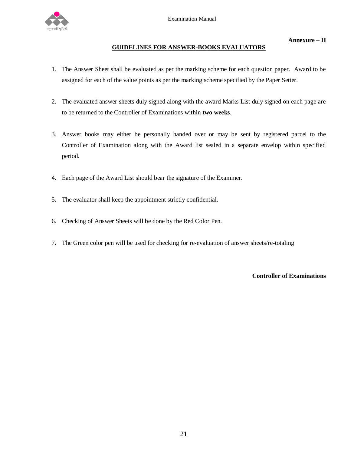

# **GUIDELINES FOR ANSWER-BOOKS EVALUATORS**

- 1. The Answer Sheet shall be evaluated as per the marking scheme for each question paper. Award to be assigned for each of the value points as per the marking scheme specified by the Paper Setter.
- 2. The evaluated answer sheets duly signed along with the award Marks List duly signed on each page are to be returned to the Controller of Examinations within **two weeks**.
- 3. Answer books may either be personally handed over or may be sent by registered parcel to the Controller of Examination along with the Award list sealed in a separate envelop within specified period.
- 4. Each page of the Award List should bear the signature of the Examiner.
- 5. The evaluator shall keep the appointment strictly confidential.
- 6. Checking of Answer Sheets will be done by the Red Color Pen.
- 7. The Green color pen will be used for checking for re-evaluation of answer sheets/re-totaling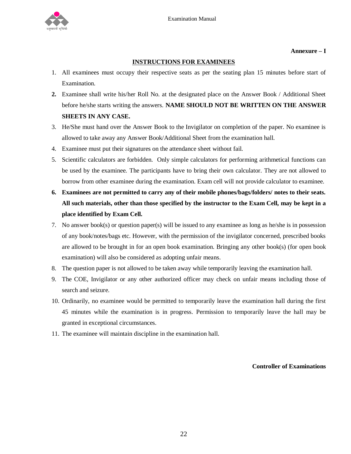

#### **Annexure – I**

# **INSTRUCTIONS FOR EXAMINEES**

- 1. All examinees must occupy their respective seats as per the seating plan 15 minutes before start of Examination.
- **2.** Examinee shall write his/her Roll No. at the designated place on the Answer Book / Additional Sheet before he/she starts writing the answers. **NAME SHOULD NOT BE WRITTEN ON THE ANSWER SHEETS IN ANY CASE.**
- 3. He/She must hand over the Answer Book to the Invigilator on completion of the paper. No examinee is allowed to take away any Answer Book/Additional Sheet from the examination hall.
- 4. Examinee must put their signatures on the attendance sheet without fail.
- 5. Scientific calculators are forbidden. Only simple calculators for performing arithmetical functions can be used by the examinee. The participants have to bring their own calculator. They are not allowed to borrow from other examinee during the examination. Exam cell will not provide calculator to examinee.
- **6. Examinees are not permitted to carry any of their mobile phones/bags/folders/ notes to their seats. All such materials, other than those specified by the instructor to the Exam Cell, may be kept in a place identified by Exam Cell.**
- 7. No answer book(s) or question paper(s) will be issued to any examinee as long as he/she is in possession of any book/notes/bags etc. However, with the permission of the invigilator concerned, prescribed books are allowed to be brought in for an open book examination. Bringing any other book(s) (for open book examination) will also be considered as adopting unfair means.
- 8. The question paper is not allowed to be taken away while temporarily leaving the examination hall.
- 9. The COE, Invigilator or any other authorized officer may check on unfair means including those of search and seizure.
- 10. Ordinarily, no examinee would be permitted to temporarily leave the examination hall during the first 45 minutes while the examination is in progress. Permission to temporarily leave the hall may be granted in exceptional circumstances.
- 11. The examinee will maintain discipline in the examination hall.